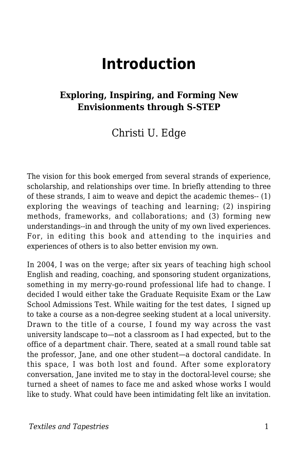# **Introduction**

#### **Exploring, Inspiring, and Forming New Envisionments through S-STEP**

#### Christi U. Edge

The vision for this book emerged from several strands of experience, scholarship, and relationships over time. In briefly attending to three of these strands, I aim to weave and depict the academic themes-- (1) exploring the weavings of teaching and learning; (2) inspiring methods, frameworks, and collaborations; and (3) forming new understandings--in and through the unity of my own lived experiences. For, in editing this book and attending to the inquiries and experiences of others is to also better envision my own.

In 2004, I was on the verge; after six years of teaching high school English and reading, coaching, and sponsoring student organizations, something in my merry-go-round professional life had to change. I decided I would either take the Graduate Requisite Exam or the Law School Admissions Test. While waiting for the test dates, I signed up to take a course as a non-degree seeking student at a local university. Drawn to the title of a course, I found my way across the vast university landscape to—not a classroom as I had expected, but to the office of a department chair. There, seated at a small round table sat the professor, Jane, and one other student—a doctoral candidate. In this space, I was both lost and found. After some exploratory conversation, Jane invited me to stay in the doctoral-level course; she turned a sheet of names to face me and asked whose works I would like to study. What could have been intimidating felt like an invitation.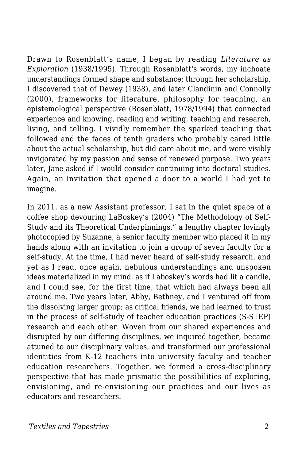Drawn to Rosenblatt's name, I began by reading *Literature as Exploration* (1938/1995). Through Rosenblatt's words, my inchoate understandings formed shape and substance; through her scholarship, I discovered that of Dewey (1938), and later Clandinin and Connolly (2000), frameworks for literature, philosophy for teaching, an epistemological perspective (Rosenblatt, 1978/1994) that connected experience and knowing, reading and writing, teaching and research, living, and telling. I vividly remember the sparked teaching that followed and the faces of tenth graders who probably cared little about the actual scholarship, but did care about me, and were visibly invigorated by my passion and sense of renewed purpose. Two years later, Jane asked if I would consider continuing into doctoral studies. Again, an invitation that opened a door to a world I had yet to imagine.

In 2011, as a new Assistant professor, I sat in the quiet space of a coffee shop devouring LaBoskey's (2004) "The Methodology of Self-Study and its Theoretical Underpinnings," a lengthy chapter lovingly photocopied by Suzanne, a senior faculty member who placed it in my hands along with an invitation to join a group of seven faculty for a self-study. At the time, I had never heard of self-study research, and yet as I read, once again, nebulous understandings and unspoken ideas materialized in my mind, as if Laboskey's words had lit a candle, and I could see, for the first time, that which had always been all around me. Two years later, Abby, Bethney, and I ventured off from the dissolving larger group; as critical friends, we had learned to trust in the process of self-study of teacher education practices (S-STEP) research and each other. Woven from our shared experiences and disrupted by our differing disciplines, we inquired together, became attuned to our disciplinary values, and transformed our professional identities from K-12 teachers into university faculty and teacher education researchers. Together, we formed a cross-disciplinary perspective that has made prismatic the possibilities of exploring, envisioning, and re-envisioning our practices and our lives as educators and researchers.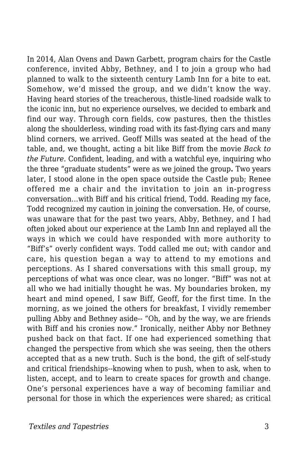In 2014, Alan Ovens and Dawn Garbett, program chairs for the Castle conference, invited Abby, Bethney, and I to join a group who had planned to walk to the sixteenth century Lamb Inn for a bite to eat. Somehow, we'd missed the group, and we didn't know the way. Having heard stories of the treacherous, thistle-lined roadside walk to the iconic inn, but no experience ourselves, we decided to embark and find our way. Through corn fields, cow pastures, then the thistles along the shoulderless, winding road with its fast-flying cars and many blind corners, we arrived. Geoff Mills was seated at the head of the table, and, we thought, acting a bit like Biff from the movie *Back to the Future*. Confident, leading, and with a watchful eye, inquiring who the three "graduate students" were as we joined the group**.** Two years later, I stood alone in the open space outside the Castle pub; Renee offered me a chair and the invitation to join an in-progress conversation…with Biff and his critical friend, Todd. Reading my face, Todd recognized my caution in joining the conversation. He, of course, was unaware that for the past two years, Abby, Bethney, and I had often joked about our experience at the Lamb Inn and replayed all the ways in which we could have responded with more authority to "Biff's" overly confident ways. Todd called me out; with candor and care, his question began a way to attend to my emotions and perceptions. As I shared conversations with this small group, my perceptions of what was once clear, was no longer. "Biff" was not at all who we had initially thought he was. My boundaries broken, my heart and mind opened, I saw Biff, Geoff, for the first time. In the morning, as we joined the others for breakfast, I vividly remember pulling Abby and Bethney aside-- "Oh, and by the way, we are friends with Biff and his cronies now." Ironically, neither Abby nor Bethney pushed back on that fact. If one had experienced something that changed the perspective from which she was seeing, then the others accepted that as a new truth. Such is the bond, the gift of self-study and critical friendships--knowing when to push, when to ask, when to listen, accept, and to learn to create spaces for growth and change. One's personal experiences have a way of becoming familiar and personal for those in which the experiences were shared; as critical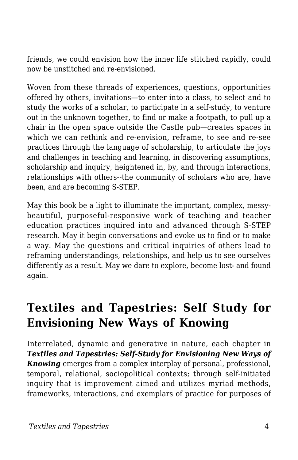friends, we could envision how the inner life stitched rapidly, could now be unstitched and re-envisioned.

Woven from these threads of experiences, questions, opportunities offered by others, invitations—to enter into a class, to select and to study the works of a scholar, to participate in a self-study, to venture out in the unknown together, to find or make a footpath, to pull up a chair in the open space outside the Castle pub—creates spaces in which we can rethink and re-envision, reframe, to see and re-see practices through the language of scholarship, to articulate the joys and challenges in teaching and learning, in discovering assumptions, scholarship and inquiry, heightened in, by, and through interactions, relationships with others--the community of scholars who are, have been, and are becoming S-STEP.

May this book be a light to illuminate the important, complex, messybeautiful, purposeful-responsive work of teaching and teacher education practices inquired into and advanced through S-STEP research. May it begin conversations and evoke us to find or to make a way. May the questions and critical inquiries of others lead to reframing understandings, relationships, and help us to see ourselves differently as a result. May we dare to explore, become lost- and found again.

## **Textiles and Tapestries: Self Study for Envisioning New Ways of Knowing**

Interrelated, dynamic and generative in nature, each chapter in *Textiles and Tapestries: Self-Study for Envisioning New Ways of Knowing* emerges from a complex interplay of personal, professional, temporal, relational, sociopolitical contexts; through self-initiated inquiry that is improvement aimed and utilizes myriad methods, frameworks, interactions, and exemplars of practice for purposes of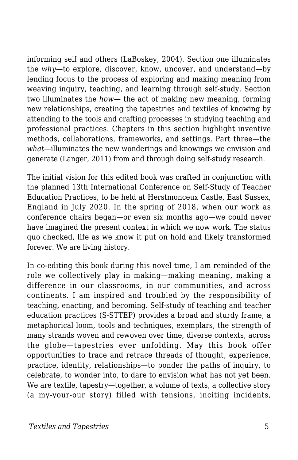informing self and others (LaBoskey, 2004). Section one illuminates the *why*—to explore, discover, know, uncover, and understand—by lending focus to the process of exploring and making meaning from weaving inquiry, teaching, and learning through self-study. Section two illuminates the *how*— the act of making new meaning, forming new relationships, creating the tapestries and textiles of knowing by attending to the tools and crafting processes in studying teaching and professional practices. Chapters in this section highlight inventive methods, collaborations, frameworks, and settings. Part three—the *what*—illuminates the new wonderings and knowings we envision and generate (Langer, 2011) from and through doing self-study research.

The initial vision for this edited book was crafted in conjunction with the planned 13th International Conference on Self-Study of Teacher Education Practices, to be held at Herstmonceux Castle, East Sussex, England in July 2020. In the spring of 2018, when our work as conference chairs began—or even six months ago—we could never have imagined the present context in which we now work. The status quo checked, life as we know it put on hold and likely transformed forever. We are living history.

In co-editing this book during this novel time, I am reminded of the role we collectively play in making—making meaning, making a difference in our classrooms, in our communities, and across continents. I am inspired and troubled by the responsibility of teaching, enacting, and becoming. Self-study of teaching and teacher education practices (S-STTEP) provides a broad and sturdy frame, a metaphorical loom, tools and techniques, exemplars, the strength of many strands woven and rewoven over time, diverse contexts, across the globe—tapestries ever unfolding. May this book offer opportunities to trace and retrace threads of thought, experience, practice, identity, relationships—to ponder the paths of inquiry, to celebrate, to wonder into, to dare to envision what has not yet been. We are textile, tapestry—together, a volume of texts, a collective story (a my-your-our story) filled with tensions, inciting incidents,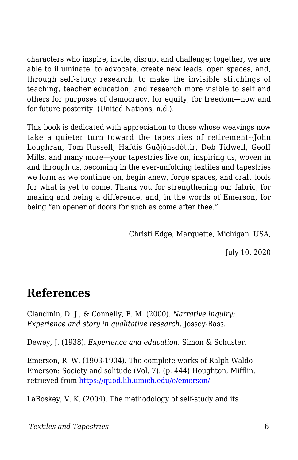characters who inspire, invite, disrupt and challenge; together, we are able to illuminate, to advocate, create new leads, open spaces, and, through self-study research, to make the invisible stitchings of teaching, teacher education, and research more visible to self and others for purposes of democracy, for equity, for freedom—now and for future posterity (United Nations, n.d.).

This book is dedicated with appreciation to those whose weavings now take a quieter turn toward the tapestries of retirement--John Loughran, Tom Russell, Hafdís Guðjónsdóttir, Deb Tidwell, Geoff Mills, and many more—your tapestries live on, inspiring us, woven in and through us, becoming in the ever-unfolding textiles and tapestries we form as we continue on, begin anew, forge spaces, and craft tools for what is yet to come. Thank you for strengthening our fabric, for making and being a difference, and, in the words of Emerson, for being "an opener of doors for such as come after thee."

Christi Edge, Marquette, Michigan, USA,

July 10, 2020

### **References**

Clandinin, D. J., & Connelly, F. M. (2000). *Narrative inquiry: Experience and story in qualitative research*. Jossey-Bass.

Dewey, J. (1938). *Experience and education*. Simon & Schuster.

Emerson, R. W. (1903-1904). The complete works of Ralph Waldo Emerson: Society and solitude (Vol. 7). (p. 444) Houghton, Mifflin. retrieved fro[m https://quod.lib.umich.edu/e/emerson/](https://quod.lib.umich.edu/e/emerson/)

LaBoskey, V. K. (2004). The methodology of self-study and its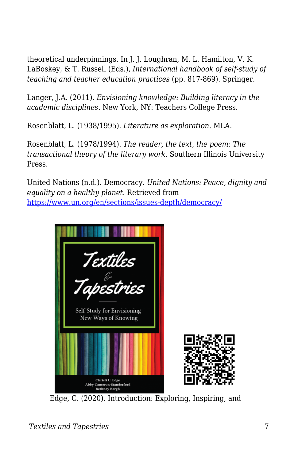theoretical underpinnings. In J. J. Loughran, M. L. Hamilton, V. K. LaBoskey, & T. Russell (Eds.), *International handbook of self-study of teaching and teacher education practices* (pp. 817-869). Springer.

Langer, J.A. (2011). *Envisioning knowledge: Building literacy in the academic disciplines*. New York, NY: Teachers College Press.

Rosenblatt, L. (1938/1995). *Literature as exploration*. MLA.

Rosenblatt, L. (1978/1994). *The reader, the text, the poem: The transactional theory of the literary work*. Southern Illinois University Press.

United Nations (n.d.). Democracy. *United Nations: Peace, dignity and equality on a healthy planet*. Retrieved from <https://www.un.org/en/sections/issues-depth/democracy/>



Edge, C. (2020). Introduction: Exploring, Inspiring, and